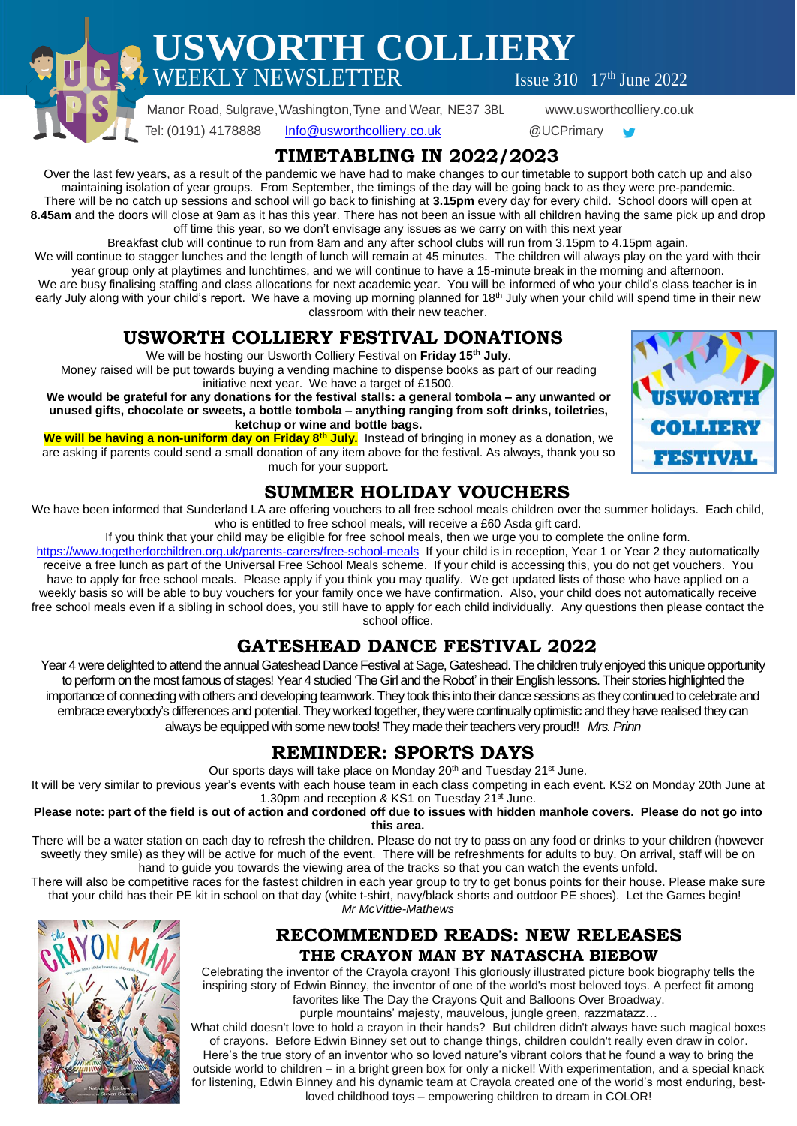**USWORTH COLLIERY**  $\text{WEEKLY NEWSLETTER}$  Issue 310  $17^{\text{th}}$  June 2022

 Manor Road, Sulgrave,Washington,Tyne and Wear, NE37 3BL www.usworthcolliery.co.uk Tel: (0191) 4178888 [Info@usworthcolliery.co.uk](mailto:Info@usworthcolliery.co.uk) @UCPrimary

## **TIMETABLING IN 2022/2023**

Over the last few years, as a result of the pandemic we have had to make changes to our timetable to support both catch up and also maintaining isolation of year groups. From September, the timings of the day will be going back to as they were pre-pandemic. There will be no catch up sessions and school will go back to finishing at **3.15pm** every day for every child. School doors will open at **8.45am** and the doors will close at 9am as it has this year. There has not been an issue with all children having the same pick up and drop off time this year, so we don't envisage any issues as we carry on with this next year

Breakfast club will continue to run from 8am and any after school clubs will run from 3.15pm to 4.15pm again.

We will continue to stagger lunches and the length of lunch will remain at 45 minutes. The children will always play on the yard with their year group only at playtimes and lunchtimes, and we will continue to have a 15-minute break in the morning and afternoon. We are busy finalising staffing and class allocations for next academic year. You will be informed of who your child's class teacher is in

early July along with your child's report. We have a moving up morning planned for 18<sup>th</sup> July when your child will spend time in their new classroom with their new teacher.

# **USWORTH COLLIERY FESTIVAL DONATIONS**

We will be hosting our Usworth Colliery Festival on **Friday 15th July**.

Money raised will be put towards buying a vending machine to dispense books as part of our reading initiative next year. We have a target of £1500.

**We would be grateful for any donations for the festival stalls: a general tombola – any unwanted or unused gifts, chocolate or sweets, a bottle tombola – anything ranging from soft drinks, toiletries, ketchup or wine and bottle bags.**

**We will be having a non-uniform day on Friday 8th July.** Instead of bringing in money as a donation, we are asking if parents could send a small donation of any item above for the festival. As always, thank you so much for your support.



# **SUMMER HOLIDAY VOUCHERS**

We have been informed that Sunderland LA are offering vouchers to all free school meals children over the summer holidays. Each child, who is entitled to free school meals, will receive a £60 Asda gift card.

If you think that your child may be eligible for free school meals, then we urge you to complete the online form.

<https://www.togetherforchildren.org.uk/parents-carers/free-school-meals>If your child is in reception, Year 1 or Year 2 they automatically receive a free lunch as part of the Universal Free School Meals scheme. If your child is accessing this, you do not get vouchers. You have to apply for free school meals. Please apply if you think you may qualify. We get updated lists of those who have applied on a weekly basis so will be able to buy vouchers for your family once we have confirmation. Also, your child does not automatically receive free school meals even if a sibling in school does, you still have to apply for each child individually. Any questions then please contact the school office.

# **GATESHEAD DANCE FESTIVAL 2022**

Year 4 were delighted to attend the annual Gateshead Dance Festival at Sage, Gateshead. The children truly enjoyed this unique opportunity to perform on the most famous of stages! Year 4 studied 'The Girl and the Robot' in their English lessons. Their stories highlighted the importance of connecting with others and developing teamwork. They took this into their dance sessions as they continued to celebrate and embrace everybody's differences and potential. They worked together, they were continually optimistic and theyhave realised they can always be equipped with some new tools! They made their teachers very proud!! Mrs. Prinn

# **REMINDER: SPORTS DAYS**

Our sports days will take place on Monday 20<sup>th</sup> and Tuesday 21<sup>st</sup> June.

It will be very similar to previous year's events with each house team in each class competing in each event. KS2 on Monday 20th June at 1.30pm and reception & KS1 on Tuesday 21<sup>st</sup> June.

#### Please note: part of the field is out of action and cordoned off due to issues with hidden manhole covers. Please do not go into **this area.**

There will be a water station on each day to refresh the children. Please do not try to pass on any food or drinks to your children (however sweetly they smile) as they will be active for much of the event. There will be refreshments for adults to buy. On arrival, staff will be on hand to guide you towards the viewing area of the tracks so that you can watch the events unfold.

There will also be competitive races for the fastest children in each year group to try to get bonus points for their house. Please make sure that your child has their PE kit in school on that day (white t-shirt, navy/black shorts and outdoor PE shoes). Let the Games begin! *Mr McVittie-Mathews*



## **RECOMMENDED READS: NEW RELEASES THE CRAYON MAN BY NATASCHA BIEBOW**

Celebrating the inventor of the Crayola crayon! This gloriously illustrated picture book biography tells the inspiring story of Edwin Binney, the inventor of one of the world's most beloved toys. A perfect fit among favorites like The Day the Crayons Quit and Balloons Over Broadway.

purple mountains' majesty, mauvelous, jungle green, razzmatazz… What child doesn't love to hold a crayon in their hands? But children didn't always have such magical boxes of crayons. Before Edwin Binney set out to change things, children couldn't really even draw in color. Here's the true story of an inventor who so loved nature's vibrant colors that he found a way to bring the outside world to children – in a bright green box for only a nickel! With experimentation, and a special knack

for listening, Edwin Binney and his dynamic team at Crayola created one of the world's most enduring, bestloved childhood toys – empowering children to dream in COLOR!